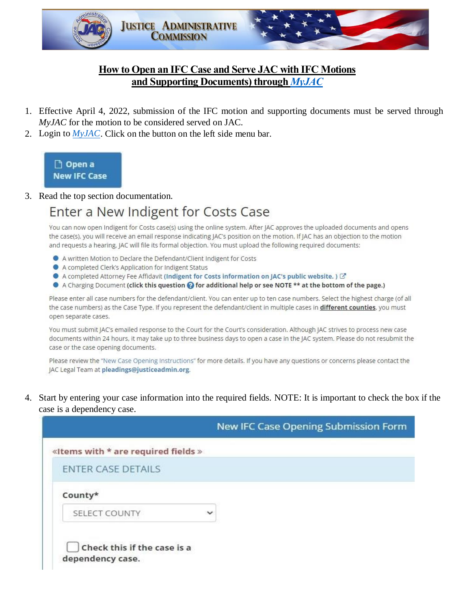

## **How to Open an IFC Case and Serve JAC with IFC Motions and Supporting Documents) through** *[MyJAC](https://www.justiceadmin.org/login/login.aspx)*

- 1. Effective April 4, 2022, submission of the IFC motion and supporting documents must be served through *MyJAC* for the motion to be considered served on JAC.
- 2. Login to *[MyJAC](https://www.justiceadmin.org/login/login.aspx)*. Click on the button on the left side menu bar.



3. Read the top section documentation.

# Enter a New Indigent for Costs Case

You can now open Indigent for Costs case(s) using the online system. After JAC approves the uploaded documents and opens the case(s), you will receive an email response indicating JAC's position on the motion. If JAC has an objection to the motion and requests a hearing, JAC will file its formal objection. You must upload the following required documents:

- A written Motion to Declare the Defendant/Client Indigent for Costs
- A completed Clerk's Application for Indigent Status
- A completed Attorney Fee Affidavit (Indigent for Costs information on JAC's public website.)  $\mathbb{Z}^n$
- A Charging Document (click this question @ for additional help or see NOTE \*\* at the bottom of the page.)

Please enter all case numbers for the defendant/client. You can enter up to ten case numbers. Select the highest charge (of all the case numbers) as the Case Type. If you represent the defendant/client in multiple cases in different counties, you must open separate cases.

You must submit JAC's emailed response to the Court for the Court's consideration. Although JAC strives to process new case documents within 24 hours, it may take up to three business days to open a case in the JAC system. Please do not resubmit the case or the case opening documents.

Please review the "New Case Opening Instructions" for more details. If you have any questions or concerns please contact the JAC Legal Team at pleadings@justiceadmin.org.

4. Start by entering your case information into the required fields. NOTE: It is important to check the box if the case is a dependency case.

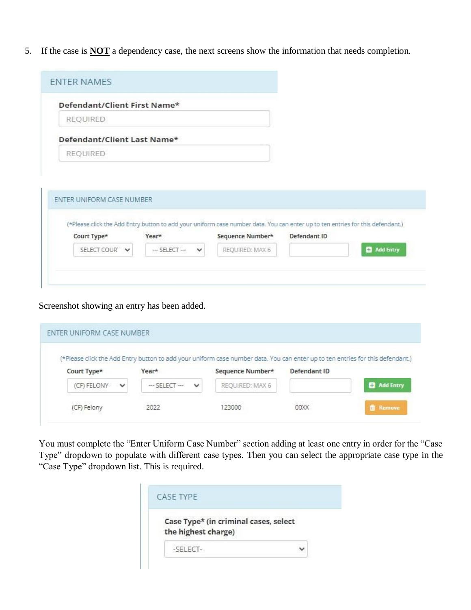5. If the case is **NOT** a dependency case, the next screens show the information that needs completion.

| Defendant/Client First Name* |                                |                  |                                                                                                                                                |           |
|------------------------------|--------------------------------|------------------|------------------------------------------------------------------------------------------------------------------------------------------------|-----------|
| <b>REQUIRED</b>              |                                |                  |                                                                                                                                                |           |
| Defendant/Client Last Name*  |                                |                  |                                                                                                                                                |           |
| REQUIRED                     |                                |                  |                                                                                                                                                |           |
|                              |                                |                  |                                                                                                                                                |           |
|                              |                                |                  |                                                                                                                                                |           |
|                              |                                |                  |                                                                                                                                                |           |
| ENTER UNIFORM CASE NUMBER    |                                |                  |                                                                                                                                                |           |
|                              |                                |                  |                                                                                                                                                |           |
|                              |                                |                  |                                                                                                                                                |           |
| Court Type*                  | Year*                          | Sequence Number* | (*Please click the Add Entry button to add your uniform case number data. You can enter up to ten entries for this defendant.)<br>Defendant ID |           |
| SELECT COUR' V               | $-$ SELECT $-$<br>$\checkmark$ | REQUIRED: MAX 6  |                                                                                                                                                | Add Entry |

Screenshot showing an entry has been added.

| Court Type* | Year* | Sequence Number* | Defendant ID |                     |
|-------------|-------|------------------|--------------|---------------------|
|             |       |                  |              | <b>C2</b> Add Entry |

You must complete the "Enter Uniform Case Number" section adding at least one entry in order for the "Case Type" dropdown to populate with different case types. Then you can select the appropriate case type in the "Case Type" dropdown list. This is required.

| Case Type* (in criminal cases, select |  |
|---------------------------------------|--|
| the highest charge)                   |  |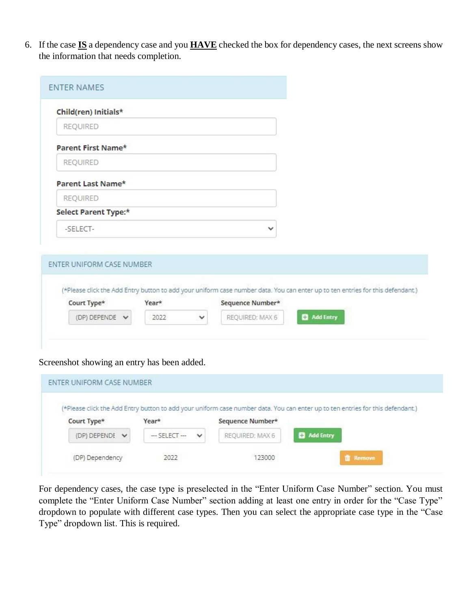6. If the case **IS** a dependency case and you **HAVE** checked the box for dependency cases, the next screens show the information that needs completion.

| Child(ren) Initials*      |       |              |                  |                                                                                                                                |  |
|---------------------------|-------|--------------|------------------|--------------------------------------------------------------------------------------------------------------------------------|--|
| REQUIRED                  |       |              |                  |                                                                                                                                |  |
| Parent First Name*        |       |              |                  |                                                                                                                                |  |
| <b>REQUIRED</b>           |       |              |                  |                                                                                                                                |  |
| Parent Last Name*         |       |              |                  |                                                                                                                                |  |
| <b>REQUIRED</b>           |       |              |                  |                                                                                                                                |  |
| Select Parent Type:*      |       |              |                  |                                                                                                                                |  |
| -SELECT-                  |       |              | $\checkmark$     |                                                                                                                                |  |
|                           |       |              |                  |                                                                                                                                |  |
| ENTER UNIFORM CASE NUMBER |       |              |                  |                                                                                                                                |  |
|                           |       |              |                  |                                                                                                                                |  |
| Court Type*               | Year* |              | Sequence Number* | (*Please click the Add Entry button to add your uniform case number data. You can enter up to ten entries for this defendant.) |  |
|                           | 2022  | $\checkmark$ | REQUIRED: MAX 6  | Add Entry                                                                                                                      |  |

#### Screenshot showing an entry has been added.

|                              |                                |                  | (*Please click the Add Entry button to add your uniform case number data. You can enter up to ten entries for this defendant.) |
|------------------------------|--------------------------------|------------------|--------------------------------------------------------------------------------------------------------------------------------|
| Court Type*                  | Year*                          | Sequence Number* |                                                                                                                                |
| (DP) DEPENDE<br>$\checkmark$ | $\checkmark$<br>$-$ SELECT $-$ | REQUIRED: MAX 6  | <b>C</b> Add Entry                                                                                                             |
|                              |                                |                  |                                                                                                                                |

For dependency cases, the case type is preselected in the "Enter Uniform Case Number" section. You must complete the "Enter Uniform Case Number" section adding at least one entry in order for the "Case Type" dropdown to populate with different case types. Then you can select the appropriate case type in the "Case Type" dropdown list. This is required.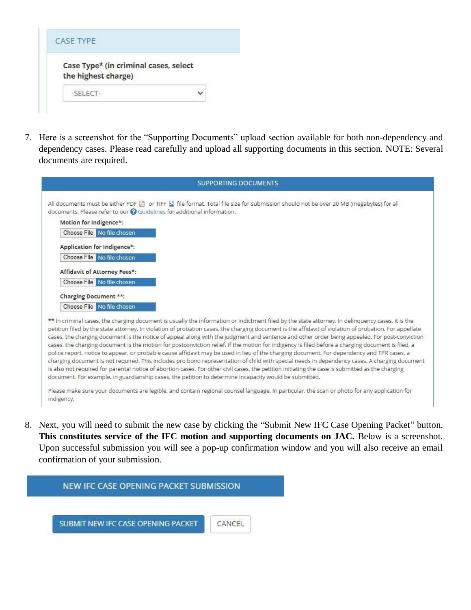| Case Type* (in criminal cases, select |  |
|---------------------------------------|--|
| the highest charge)                   |  |
| $-$ SFIFCT $-$                        |  |

7. Here is a screenshot for the "Supporting Documents" upload section available for both non-dependency and dependency cases. Please read carefully and upload all supporting documents in this section. NOTE: Several documents are required.

| <b>SUPPORTING DOCUMENTS</b>                                                                                                                                                                                                                                                                                                                                                                                                                                                                                                                                                                                                                                                                                                                                                                                                                                                                                                                                                                                                                                                                                                                                                    |
|--------------------------------------------------------------------------------------------------------------------------------------------------------------------------------------------------------------------------------------------------------------------------------------------------------------------------------------------------------------------------------------------------------------------------------------------------------------------------------------------------------------------------------------------------------------------------------------------------------------------------------------------------------------------------------------------------------------------------------------------------------------------------------------------------------------------------------------------------------------------------------------------------------------------------------------------------------------------------------------------------------------------------------------------------------------------------------------------------------------------------------------------------------------------------------|
| All documents must be either PDF [4] or TIFF [4] file format. Total file size for submission should not be over 20 MB (megabytes) for all<br>documents. Please refer to our @ Guidelines for additional information.                                                                                                                                                                                                                                                                                                                                                                                                                                                                                                                                                                                                                                                                                                                                                                                                                                                                                                                                                           |
| Motion for Indigence*:                                                                                                                                                                                                                                                                                                                                                                                                                                                                                                                                                                                                                                                                                                                                                                                                                                                                                                                                                                                                                                                                                                                                                         |
| Choose File No file chosen                                                                                                                                                                                                                                                                                                                                                                                                                                                                                                                                                                                                                                                                                                                                                                                                                                                                                                                                                                                                                                                                                                                                                     |
| Application for Indigence*:                                                                                                                                                                                                                                                                                                                                                                                                                                                                                                                                                                                                                                                                                                                                                                                                                                                                                                                                                                                                                                                                                                                                                    |
| Choose File No file chosen                                                                                                                                                                                                                                                                                                                                                                                                                                                                                                                                                                                                                                                                                                                                                                                                                                                                                                                                                                                                                                                                                                                                                     |
| Affidavit of Attorney Fees*:                                                                                                                                                                                                                                                                                                                                                                                                                                                                                                                                                                                                                                                                                                                                                                                                                                                                                                                                                                                                                                                                                                                                                   |
| Choose File No file chosen                                                                                                                                                                                                                                                                                                                                                                                                                                                                                                                                                                                                                                                                                                                                                                                                                                                                                                                                                                                                                                                                                                                                                     |
| Charging Document **:                                                                                                                                                                                                                                                                                                                                                                                                                                                                                                                                                                                                                                                                                                                                                                                                                                                                                                                                                                                                                                                                                                                                                          |
| Choose File No file chosen                                                                                                                                                                                                                                                                                                                                                                                                                                                                                                                                                                                                                                                                                                                                                                                                                                                                                                                                                                                                                                                                                                                                                     |
| ** In criminal cases, the charging document is usually the information or indictment filed by the state attorney. In delinquency cases, it is the<br>petition filed by the state attorney. In violation of probation cases, the charging document is the affidavit of violation of probation. For appellate<br>cases, the charging document is the notice of appeal along with the judgment and sentence and other order being appealed. For post-conviction<br>cases, the charging document is the motion for postconviction relief. If the motion for indigency is filed before a charging document is filed, a<br>police report, notice to appear, or probable cause affidavit may be used in lieu of the charging document. For dependency and TPR cases, a<br>charging document is not required. This includes pro bono representation of child with special needs in dependency cases. A charging document<br>is also not required for parental notice of abortion cases. For other civil cases, the petition initiating the case is submitted as the charging<br>document. For example, in guardianship cases, the petition to determine incapacity would be submitted. |
| Please make sure your documents are legible, and contain regional counsel language. In particular, the scan or photo for any application for<br>indigency.                                                                                                                                                                                                                                                                                                                                                                                                                                                                                                                                                                                                                                                                                                                                                                                                                                                                                                                                                                                                                     |

8. Next, you will need to submit the new case by clicking the "Submit New IFC Case Opening Packet" button. **This constitutes service of the IFC motion and supporting documents on JAC.** Below is a screenshot. Upon successful submission you will see a pop-up confirmation window and you will also receive an email confirmation of your submission.

#### NEW IFC CASE OPENING PACKET SUBMISSION

SUBMIT NEW IFC CASE OPENING PACKET

CANCEL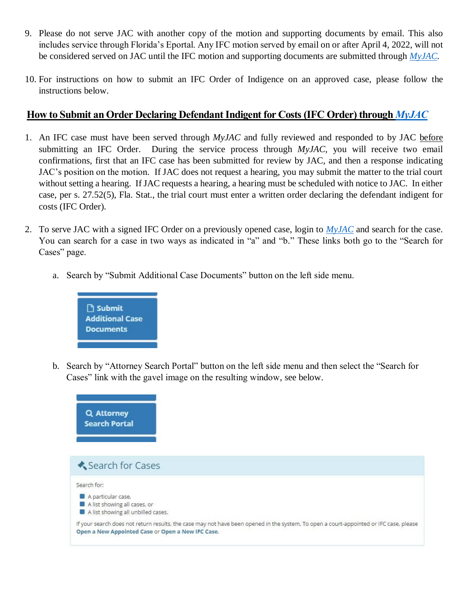- 9. Please do not serve JAC with another copy of the motion and supporting documents by email. This also includes service through Florida's Eportal. Any IFC motion served by email on or after April 4, 2022, will not be considered served on JAC until the IFC motion and supporting documents are submitted through *[MyJAC.](https://www.justiceadmin.org/login/login.aspx)*
- 10. For instructions on how to submit an IFC Order of Indigence on an approved case, please follow the instructions below.

### **How to Submit an Order Declaring Defendant Indigent for Costs (IFC Order) through** *[MyJAC](https://www.justiceadmin.org/login/login.aspx)*

- 1. An IFC case must have been served through *MyJAC* and fully reviewed and responded to by JAC before submitting an IFC Order. During the service process through *MyJAC*, you will receive two email confirmations, first that an IFC case has been submitted for review by JAC, and then a response indicating JAC's position on the motion. If JAC does not request a hearing, you may submit the matter to the trial court without setting a hearing. If JAC requests a hearing, a hearing must be scheduled with notice to JAC. In either case, per s. 27.52(5), Fla. Stat., the trial court must enter a written order declaring the defendant indigent for costs (IFC Order).
- 2. To serve JAC with a signed IFC Order on a previously opened case, login to *[MyJAC](https://www.justiceadmin.org/login/login.aspx)* and search for the case. You can search for a case in two ways as indicated in "a" and "b." These links both go to the "Search for Cases" page.
	- a. Search by "Submit Additional Case Documents" button on the left side menu.



b. Search by "Attorney Search Portal" button on the left side menu and then select the "Search for Cases" link with the gavel image on the resulting window, see below.

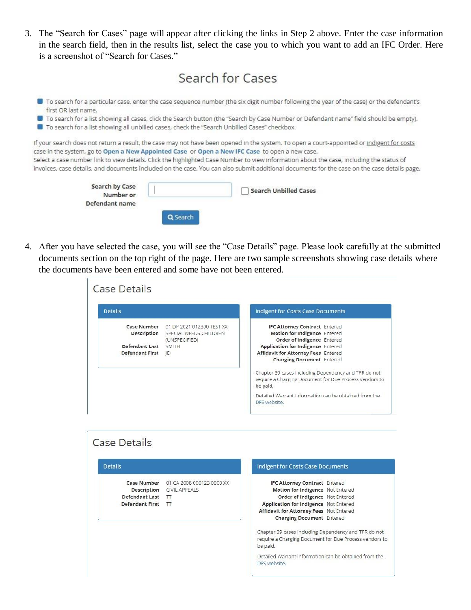3. The "Search for Cases" page will appear after clicking the links in Step 2 above. Enter the case information in the search field, then in the results list, select the case you to which you want to add an IFC Order. Here is a screenshot of "Search for Cases."

| Search for Cases |  |
|------------------|--|
|                  |  |

- To search for a particular case, enter the case sequence number (the six digit number following the year of the case) or the defendant's first OR last name.
- **D** To search for a list showing all cases, click the Search button (the "Search by Case Number or Defendant name" field should be empty).
- To search for a list showing all unbilled cases, check the "Search Unbilled Cases" checkbox.

If your search does not return a result, the case may not have been opened in the system. To open a court-appointed or indigent for costs case in the system, go to Open a New Appointed Case or Open a New IFC Case to open a new case. Select a case number link to view details. Click the highlighted Case Number to view information about the case, including the status of invoices, case details, and documents included on the case. You can also submit additional documents for the case on the case details page.

| Search by Case<br>Number or |        | <b>Search Unbilled Cases</b> |
|-----------------------------|--------|------------------------------|
| Defendant name              |        |                              |
|                             | Search |                              |

4. After you have selected the case, you will see the "Case Details" page. Please look carefully at the submitted documents section on the top right of the page. Here are two sample screenshots showing case details where the documents have been entered and some have not been entered.

| <b>Case Details</b>                                                          |                                                                            |                                                                                                                                                                                                                                                                                                                                                         |
|------------------------------------------------------------------------------|----------------------------------------------------------------------------|---------------------------------------------------------------------------------------------------------------------------------------------------------------------------------------------------------------------------------------------------------------------------------------------------------------------------------------------------------|
| <b>Details</b>                                                               |                                                                            | Indigent for Costs Case Documents                                                                                                                                                                                                                                                                                                                       |
| Case Number<br>Description<br>Defendant Last SMITH<br><b>Defendant First</b> | 01 DP 2021 012300 TEST XX<br>SPECIAL NEEDS CHILDREN<br>(UNSPECIFIED)<br>ID | <b>IFC Attorney Contract Entered</b><br>Motion for Indigence Entered<br>Order of Indigence Entered<br><b>Application for Indigence Entered</b><br>Affidavit for Attorney Fees Entered<br><b>Charging Document</b> Entered<br>Chapter 39 cases including Dependency and TPR do not<br>require a Charging Document for Due Process vendors to<br>be paid. |
|                                                                              |                                                                            | Detailed Warrant information can be obtained from the<br>DFS website.                                                                                                                                                                                                                                                                                   |
| <b>Details</b>                                                               |                                                                            | <b>Indigent for Costs Case Documents</b>                                                                                                                                                                                                                                                                                                                |
|                                                                              |                                                                            |                                                                                                                                                                                                                                                                                                                                                         |
| <b>Case Number</b>                                                           |                                                                            |                                                                                                                                                                                                                                                                                                                                                         |
| Description<br><b>Defendant Last</b>                                         | 01 CA 2008 000123 0000 XX<br>CIVIL APPEALS<br>TT                           | <b>IFC Attorney Contract Entered</b><br>Motion for Indigence Not Entered<br>Order of Indigence Not Entered                                                                                                                                                                                                                                              |
| Defendant First TT                                                           |                                                                            | Application for Indigence Not Entered<br>Affidavit for Attorney Fees Not Entered<br>Charging Document Entered                                                                                                                                                                                                                                           |
|                                                                              |                                                                            | Chapter 39 cases including Dependency and TPR do not<br>require a Charging Document for Due Process vendors to<br>be paid.                                                                                                                                                                                                                              |